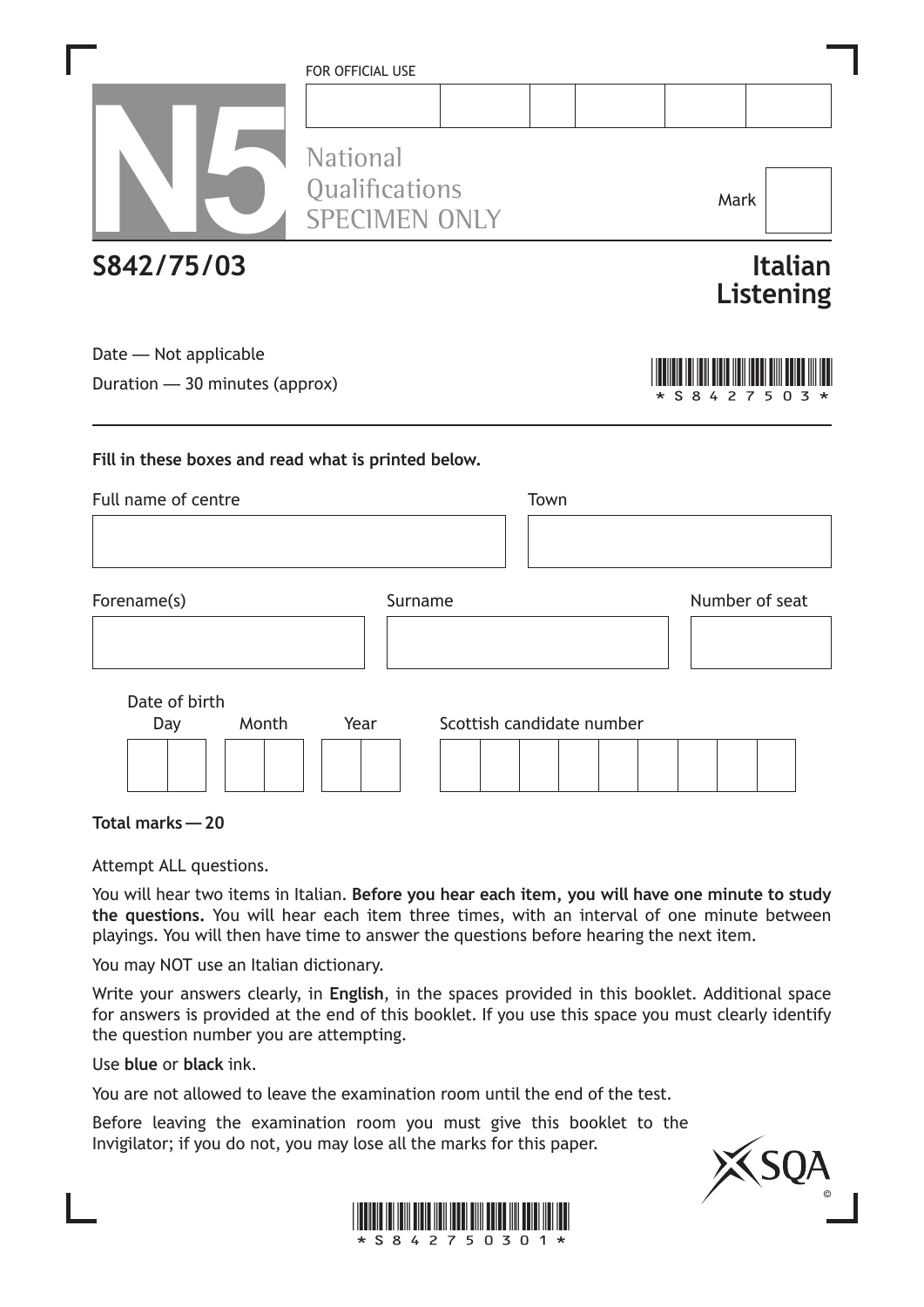|                                                         | FOR OFFICIAL USE<br><b>National</b>                 |         |      |                           |                |                             |  |  |
|---------------------------------------------------------|-----------------------------------------------------|---------|------|---------------------------|----------------|-----------------------------|--|--|
|                                                         | Qualifications<br><b>SPECIMEN ONLY</b>              |         |      |                           | Mark           |                             |  |  |
| S842/75/03                                              |                                                     |         |      |                           |                | <b>Italian</b><br>Listening |  |  |
| Date - Not applicable<br>Duration - 30 minutes (approx) |                                                     |         |      |                           | * S 8 4 2 7 5  | 0                           |  |  |
|                                                         | Fill in these boxes and read what is printed below. |         |      |                           |                |                             |  |  |
| Full name of centre                                     |                                                     |         | Town |                           |                |                             |  |  |
|                                                         |                                                     |         |      |                           |                |                             |  |  |
| Forename(s)                                             |                                                     | Surname |      |                           | Number of seat |                             |  |  |
|                                                         |                                                     |         |      |                           |                |                             |  |  |
| Date of birth                                           |                                                     |         |      |                           |                |                             |  |  |
| Month<br>Day                                            | Year                                                |         |      | Scottish candidate number |                |                             |  |  |
|                                                         |                                                     |         |      |                           |                |                             |  |  |
| Total marks - 20                                        |                                                     |         |      |                           |                |                             |  |  |

Attempt ALL questions.

You will hear two items in Italian. **Before you hear each item, you will have one minute to study the questions.** You will hear each item three times, with an interval of one minute between playings. You will then have time to answer the questions before hearing the next item.

You may NOT use an Italian dictionary.

Write your answers clearly, in **English**, in the spaces provided in this booklet. Additional space for answers is provided at the end of this booklet. If you use this space you must clearly identify the question number you are attempting.

Use **blue** or **black** ink.

You are not allowed to leave the examination room until the end of the test.

Before leaving the examination room you must give this booklet to the Invigilator; if you do not, you may lose all the marks for this paper.



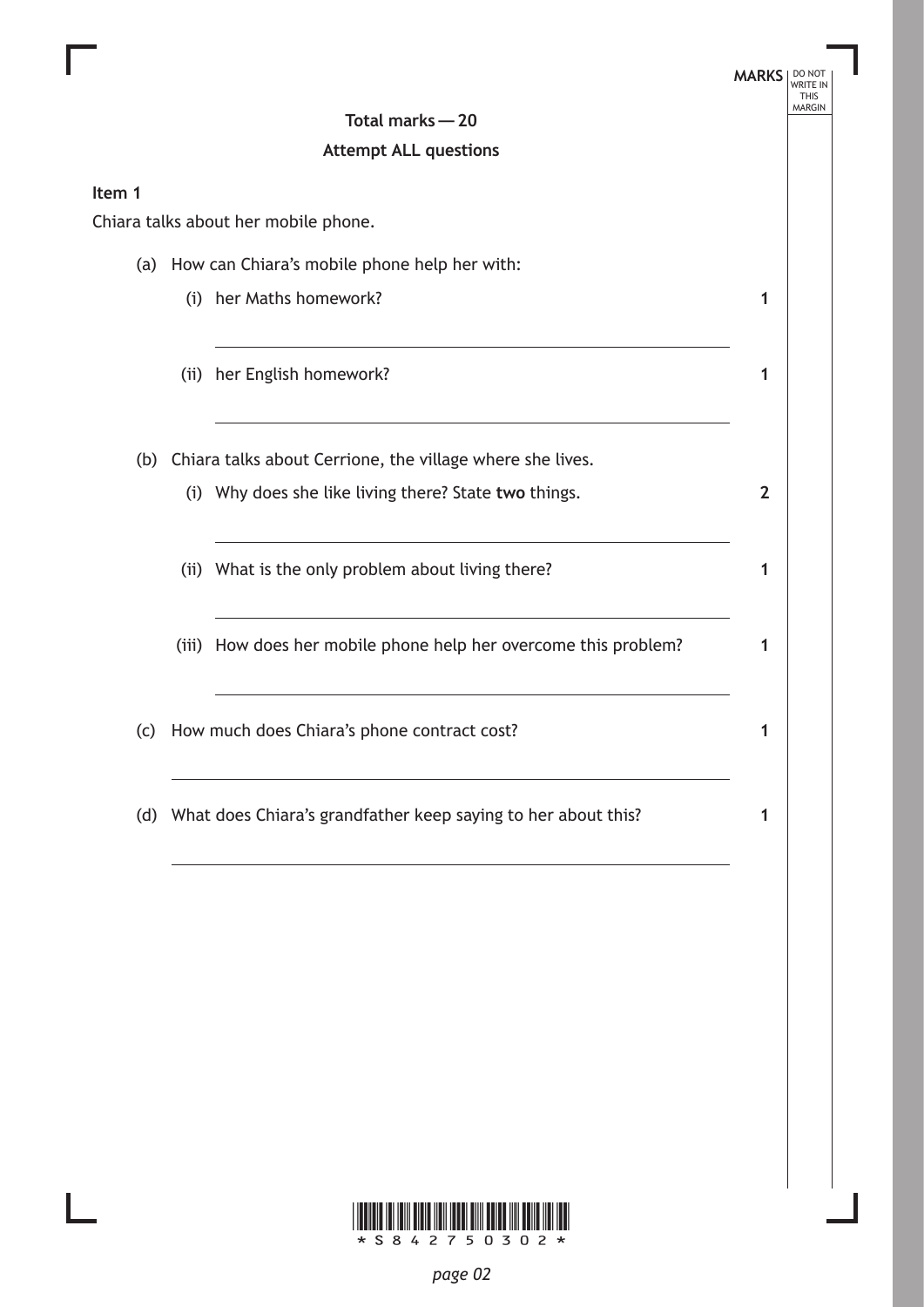|        |                                                  |                                                                   | <b>MARKS</b>   | <b>WRITE IN</b><br><b>THIS</b> |  |
|--------|--------------------------------------------------|-------------------------------------------------------------------|----------------|--------------------------------|--|
|        |                                                  | Total marks - 20                                                  |                | <b>MARGIN</b>                  |  |
|        |                                                  | <b>Attempt ALL questions</b>                                      |                |                                |  |
| Item 1 |                                                  |                                                                   |                |                                |  |
|        |                                                  | Chiara talks about her mobile phone.                              |                |                                |  |
|        | (a) How can Chiara's mobile phone help her with: |                                                                   |                |                                |  |
|        |                                                  | (i) her Maths homework?                                           | 1              |                                |  |
|        |                                                  | (ii) her English homework?                                        | 1              |                                |  |
|        |                                                  | (b) Chiara talks about Cerrione, the village where she lives.     |                |                                |  |
|        |                                                  | (i) Why does she like living there? State two things.             | $\overline{2}$ |                                |  |
|        |                                                  | (ii) What is the only problem about living there?                 | 1              |                                |  |
|        |                                                  | (iii) How does her mobile phone help her overcome this problem?   | 1              |                                |  |
| (c)    |                                                  | How much does Chiara's phone contract cost?                       | 1              |                                |  |
|        |                                                  | (d) What does Chiara's grandfather keep saying to her about this? | 1              |                                |  |

Ш

I.

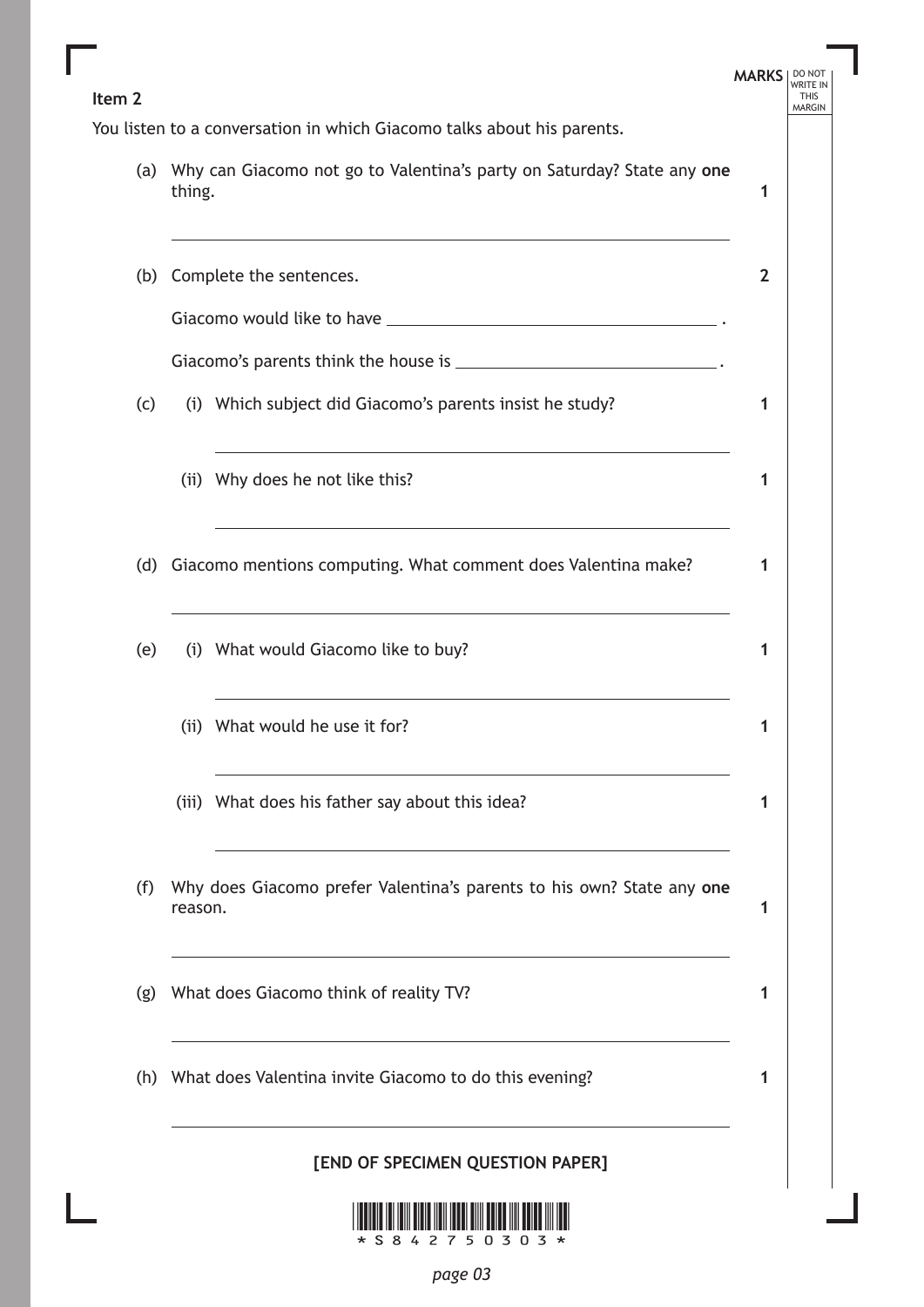| Item <sub>2</sub> |                                                                                                                                                                                                                                                                  | <b>MARKS</b>   | DO NOT<br><b>THIS</b><br><b>MARGIN</b> |  |
|-------------------|------------------------------------------------------------------------------------------------------------------------------------------------------------------------------------------------------------------------------------------------------------------|----------------|----------------------------------------|--|
|                   | You listen to a conversation in which Giacomo talks about his parents.                                                                                                                                                                                           |                |                                        |  |
|                   | (a) Why can Giacomo not go to Valentina's party on Saturday? State any one<br>thing.                                                                                                                                                                             |                |                                        |  |
| (b)               | Complete the sentences.                                                                                                                                                                                                                                          | $\overline{2}$ |                                        |  |
|                   |                                                                                                                                                                                                                                                                  |                |                                        |  |
|                   | Giacomo's parents think the house is _______________________________.                                                                                                                                                                                            |                |                                        |  |
| (c)               | (i) Which subject did Giacomo's parents insist he study?                                                                                                                                                                                                         | 1              |                                        |  |
|                   | the control of the control of the control of the control of the control of the control of the control of the control of the control of the control of the control of the control of the control of the control of the control<br>(ii) Why does he not like this? | 1              |                                        |  |
| (d)               | Giacomo mentions computing. What comment does Valentina make?                                                                                                                                                                                                    | 1              |                                        |  |
| (e)               | (i) What would Giacomo like to buy?                                                                                                                                                                                                                              | 1              |                                        |  |
|                   | (ii) What would he use it for?                                                                                                                                                                                                                                   | 1              |                                        |  |
|                   | (iii) What does his father say about this idea?                                                                                                                                                                                                                  | 1              |                                        |  |
| (f)               | Why does Giacomo prefer Valentina's parents to his own? State any one<br>reason.                                                                                                                                                                                 |                |                                        |  |
| (g)               | What does Giacomo think of reality TV?                                                                                                                                                                                                                           | 1              |                                        |  |
|                   | (h) What does Valentina invite Giacomo to do this evening?                                                                                                                                                                                                       | 1              |                                        |  |
|                   | [END OF SPECIMEN QUESTION PAPER]                                                                                                                                                                                                                                 |                |                                        |  |
|                   | <u> 1 10011010 101 10111 01010 11011 10001 01111 00100 11111 00100 1111 1001</u>                                                                                                                                                                                 |                |                                        |  |

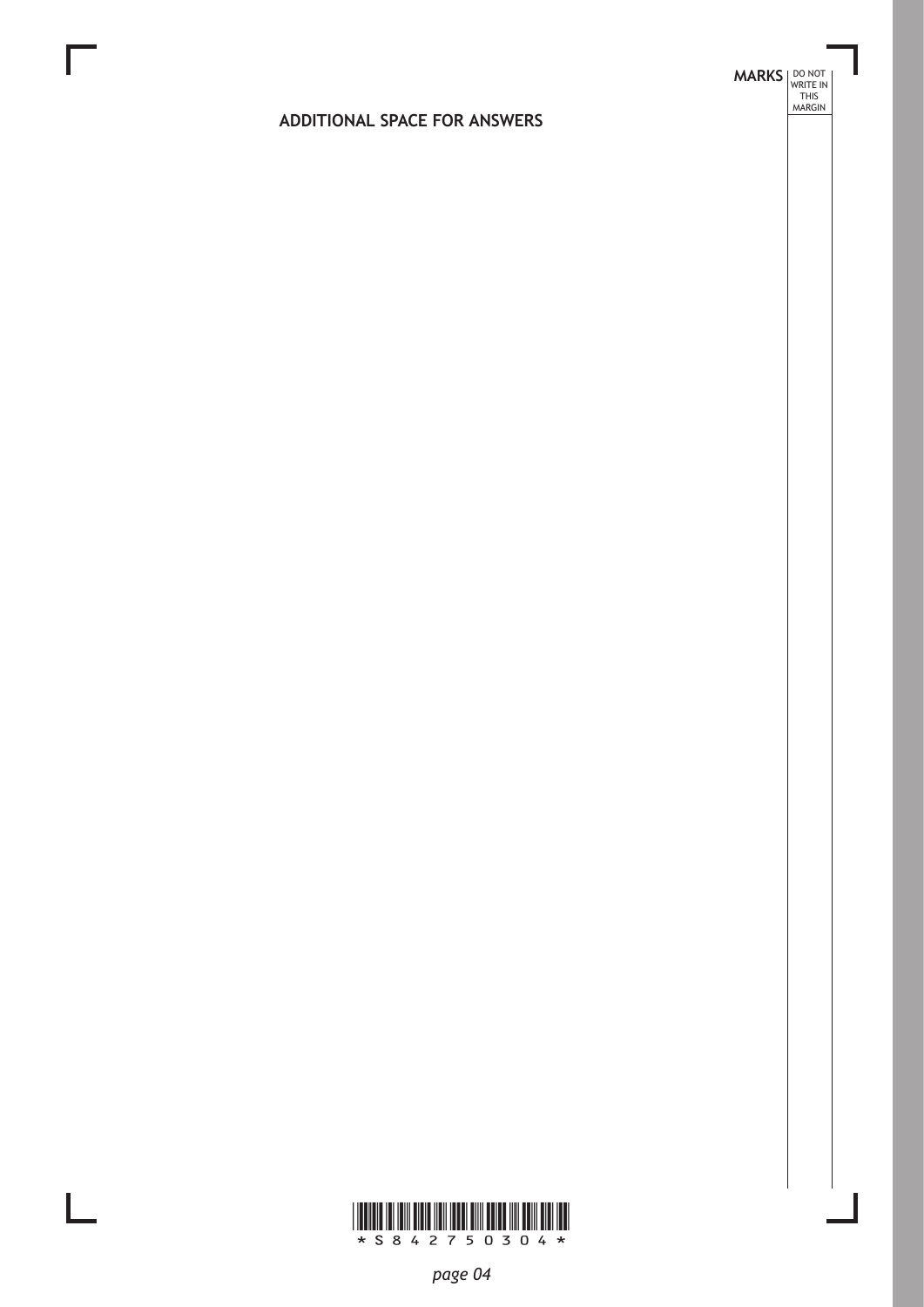# **MARKS DO NOT
WRITE IN** <br>
THIS
MARGIN

#### **ADDITIONAL SPACE FOR ANSWERS**



 $\mathbb{R}^{\mathbb{Z}}$ 

*page 04*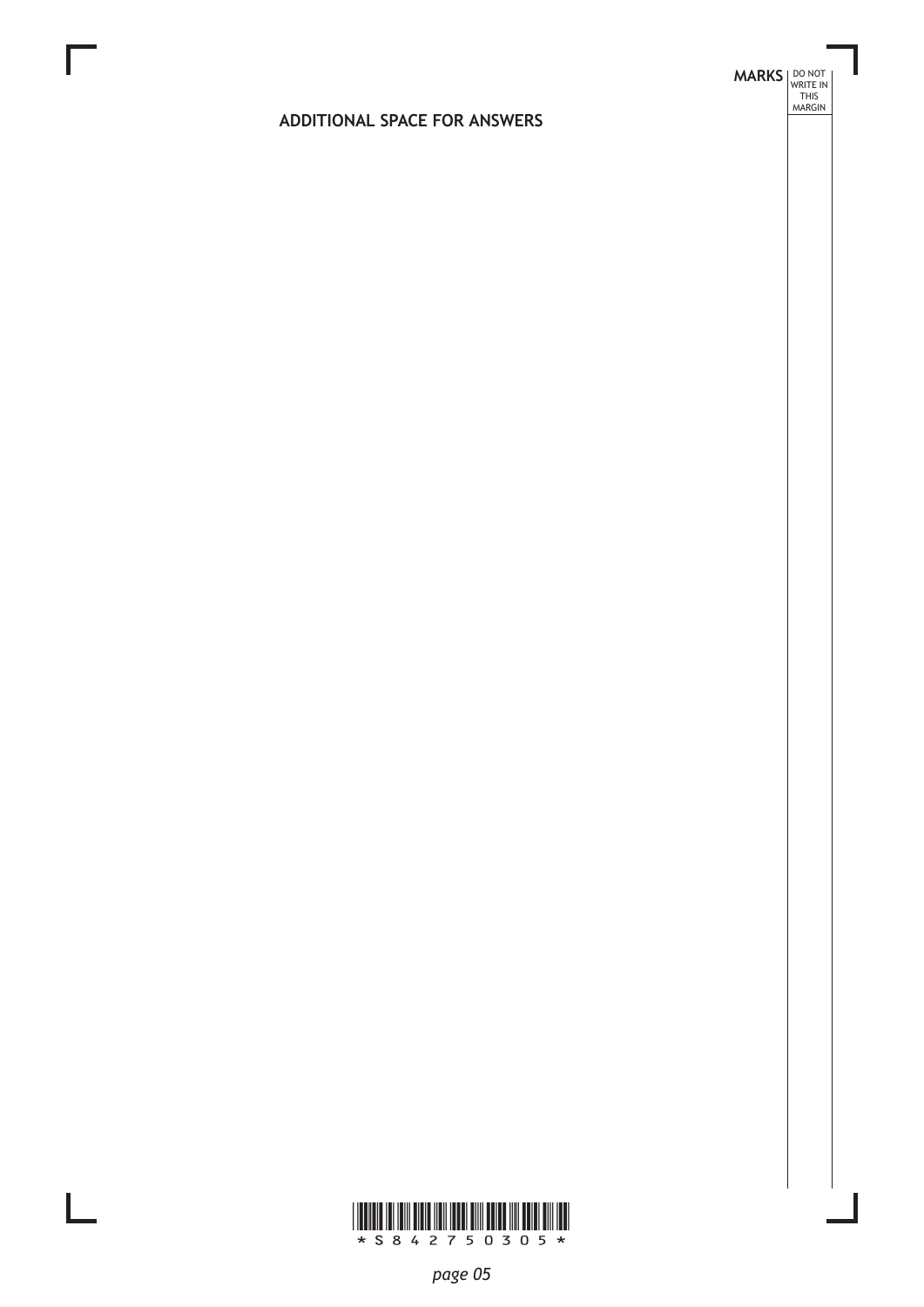## **MARKS DO NOT
WRITE IN** <br>
THIS
MARGIN

#### **ADDITIONAL SPACE FOR ANSWERS**



 $\mathbb{R}^{\mathbb{Z}}$ 

*page 05*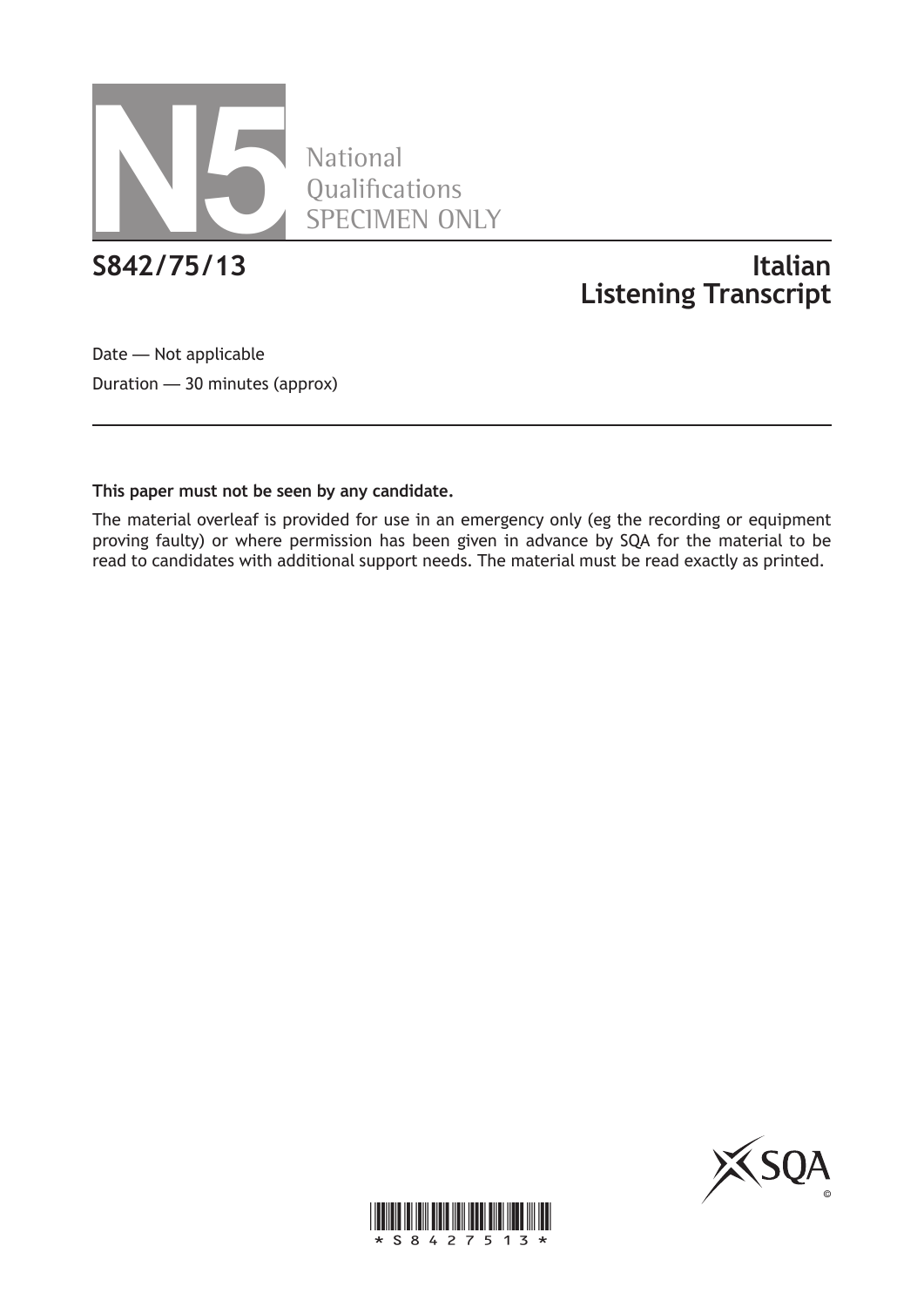

**National** Qualifications SPECIMEN ONLY

## **S842/75/13 Italian Listening Transcript**

Date — Not applicable Duration — 30 minutes (approx)

#### **This paper must not be seen by any candidate.**

The material overleaf is provided for use in an emergency only (eg the recording or equipment proving faulty) or where permission has been given in advance by SQA for the material to be read to candidates with additional support needs. The material must be read exactly as printed.



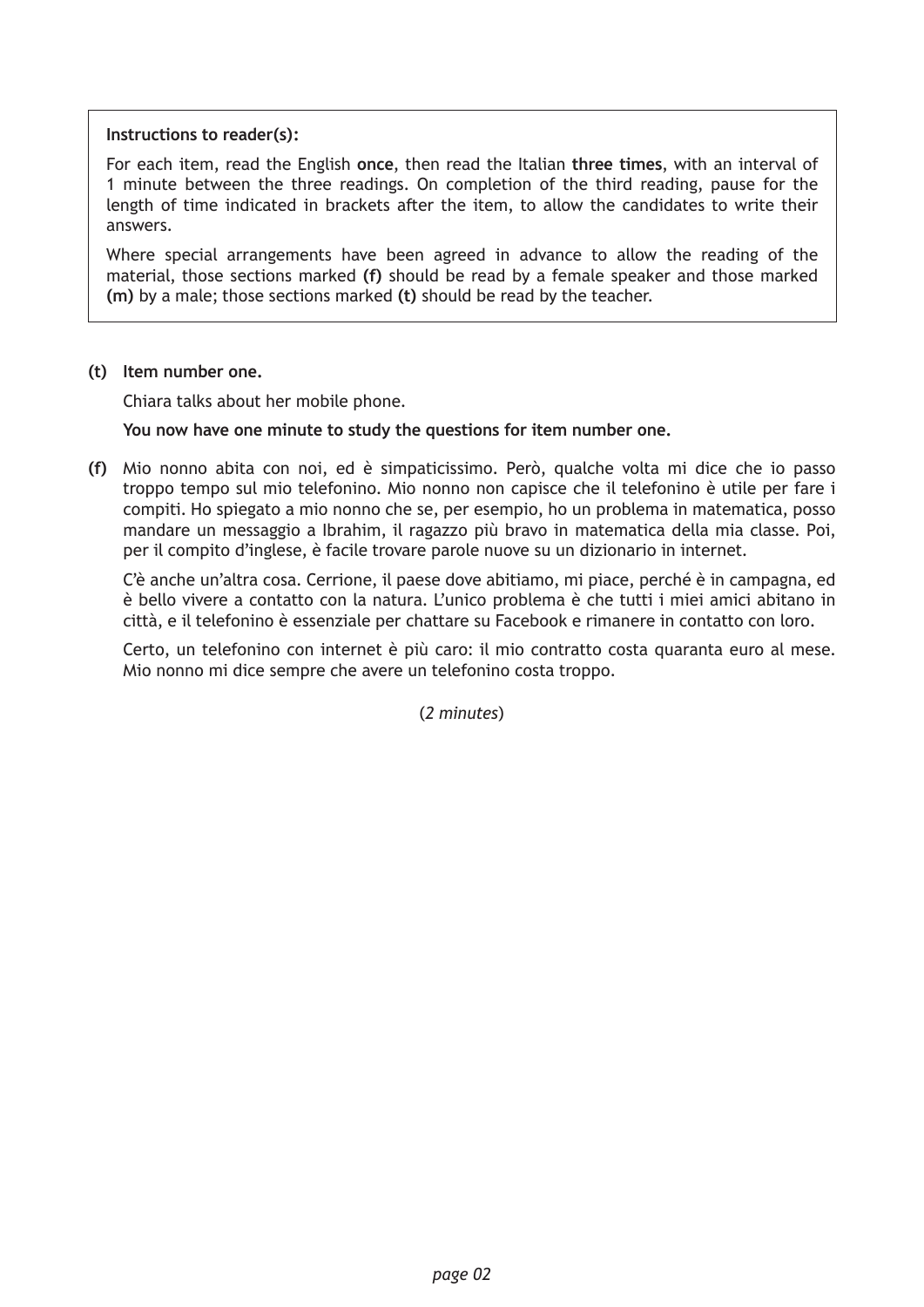#### **Instructions to reader(s):**

For each item, read the English **once**, then read the Italian **three times**, with an interval of 1 minute between the three readings. On completion of the third reading, pause for the length of time indicated in brackets after the item, to allow the candidates to write their answers.

Where special arrangements have been agreed in advance to allow the reading of the material, those sections marked **(f)** should be read by a female speaker and those marked **(m)** by a male; those sections marked **(t)** should be read by the teacher.

#### **(t) Item number one.**

Chiara talks about her mobile phone.

#### **You now have one minute to study the questions for item number one.**

**(f)** Mio nonno abita con noi, ed è simpaticissimo. Però, qualche volta mi dice che io passo troppo tempo sul mio telefonino. Mio nonno non capisce che il telefonino è utile per fare i compiti. Ho spiegato a mio nonno che se, per esempio, ho un problema in matematica, posso mandare un messaggio a Ibrahim, il ragazzo più bravo in matematica della mia classe. Poi, per il compito d'inglese, è facile trovare parole nuove su un dizionario in internet.

C'è anche un'altra cosa. Cerrione, il paese dove abitiamo, mi piace, perché è in campagna, ed è bello vivere a contatto con la natura. L'unico problema è che tutti i miei amici abitano in città, e il telefonino è essenziale per chattare su Facebook e rimanere in contatto con loro.

Certo, un telefonino con internet è più caro: il mio contratto costa quaranta euro al mese. Mio nonno mi dice sempre che avere un telefonino costa troppo.

(*2 minutes*)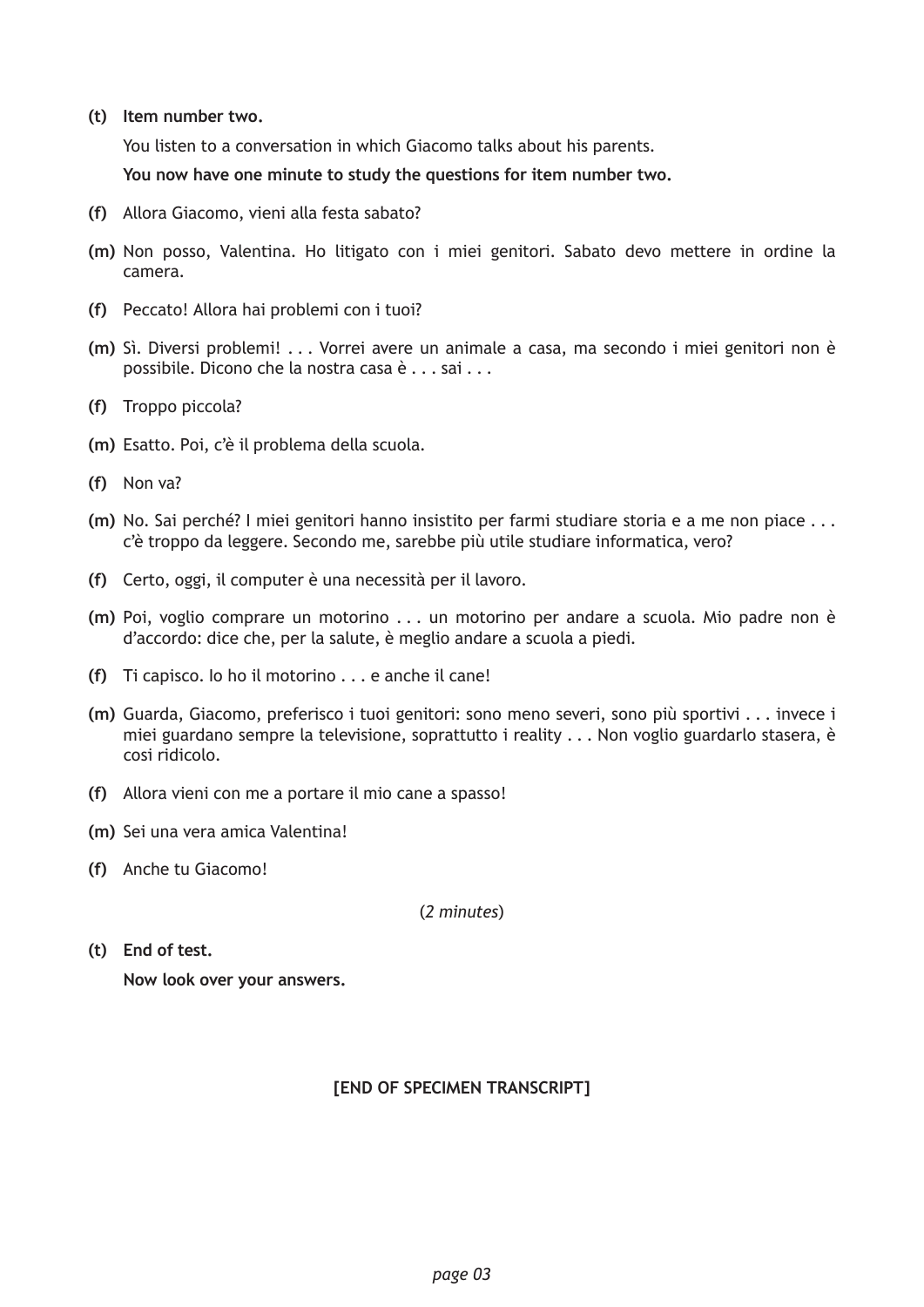**(t) Item number two.**

You listen to a conversation in which Giacomo talks about his parents.

**You now have one minute to study the questions for item number two.**

- **(f)** Allora Giacomo, vieni alla festa sabato?
- **(m)** Non posso, Valentina. Ho litigato con i miei genitori. Sabato devo mettere in ordine la camera.
- **(f)** Peccato! Allora hai problemi con i tuoi?
- **(m)** Sì. Diversi problemi! . . . Vorrei avere un animale a casa, ma secondo i miei genitori non è possibile. Dicono che la nostra casa è . . . sai . . .
- **(f)** Troppo piccola?
- **(m)** Esatto. Poi, c'è il problema della scuola.
- **(f)** Non va?
- **(m)** No. Sai perché? I miei genitori hanno insistito per farmi studiare storia e a me non piace . . . c'è troppo da leggere. Secondo me, sarebbe più utile studiare informatica, vero?
- **(f)** Certo, oggi, il computer è una necessità per il lavoro.
- **(m)** Poi, voglio comprare un motorino . . . un motorino per andare a scuola. Mio padre non è d'accordo: dice che, per la salute, è meglio andare a scuola a piedi.
- **(f)** Ti capisco. Io ho il motorino . . . e anche il cane!
- **(m)** Guarda, Giacomo, preferisco i tuoi genitori: sono meno severi, sono più sportivi . . . invece i miei guardano sempre la televisione, soprattutto i reality . . . Non voglio guardarlo stasera, è cosi ridicolo.
- **(f)** Allora vieni con me a portare il mio cane a spasso!
- **(m)** Sei una vera amica Valentina!
- **(f)** Anche tu Giacomo!

(*2 minutes*)

**(t) End of test. Now look over your answers.**

#### **[END OF SPECIMEN TRANSCRIPT]**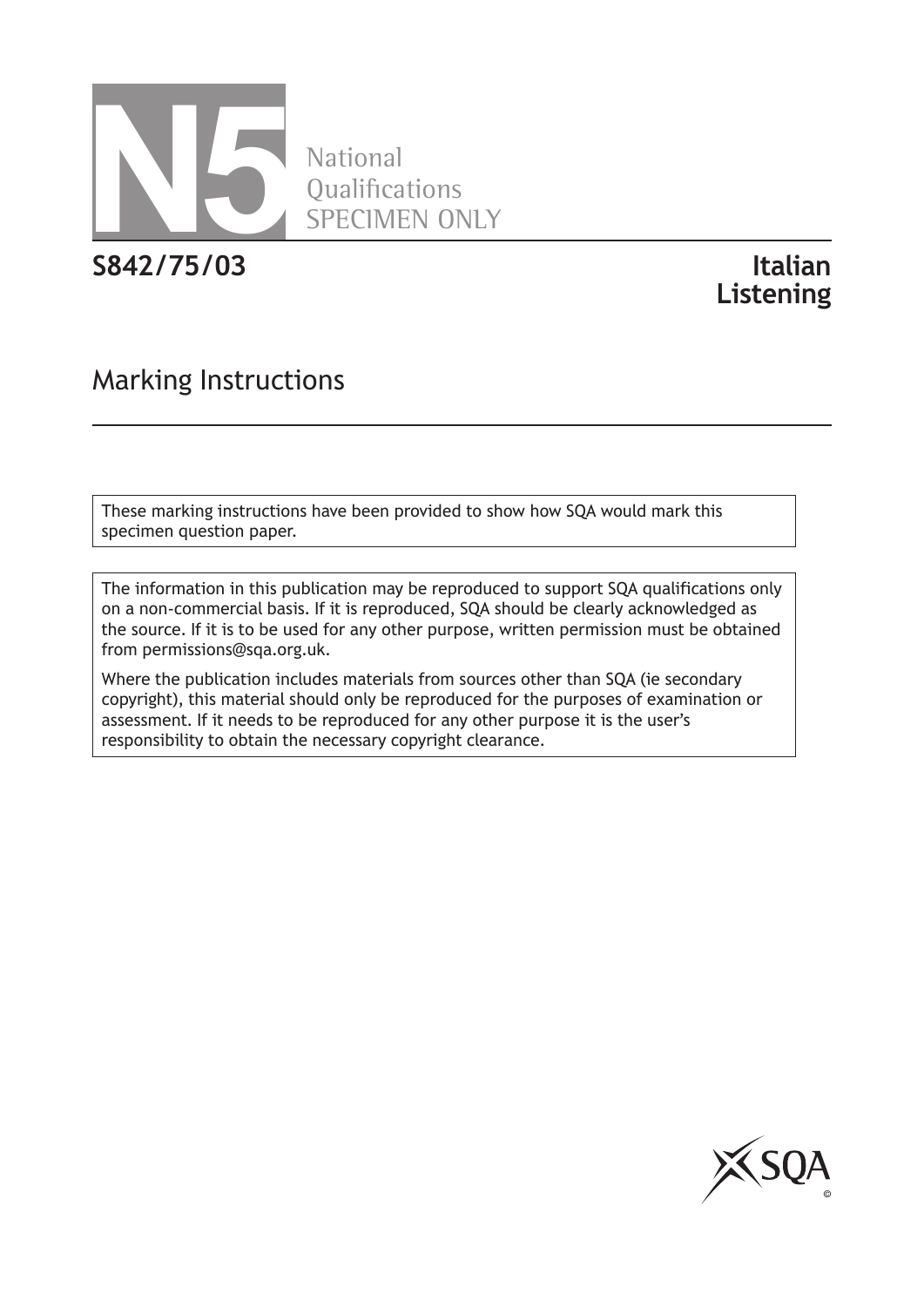

National **Oualifications** SPECIMEN ONLY

**S842/75/03 Italian**

# **Listening**

## Marking Instructions

These marking instructions have been provided to show how SQA would mark this specimen question paper.

The information in this publication may be reproduced to support SQA qualifications only on a non-commercial basis. If it is reproduced, SQA should be clearly acknowledged as the source. If it is to be used for any other purpose, written permission must be obtained from permissions@sqa.org.uk.

Where the publication includes materials from sources other than SQA (ie secondary copyright), this material should only be reproduced for the purposes of examination or assessment. If it needs to be reproduced for any other purpose it is the user's responsibility to obtain the necessary copyright clearance.

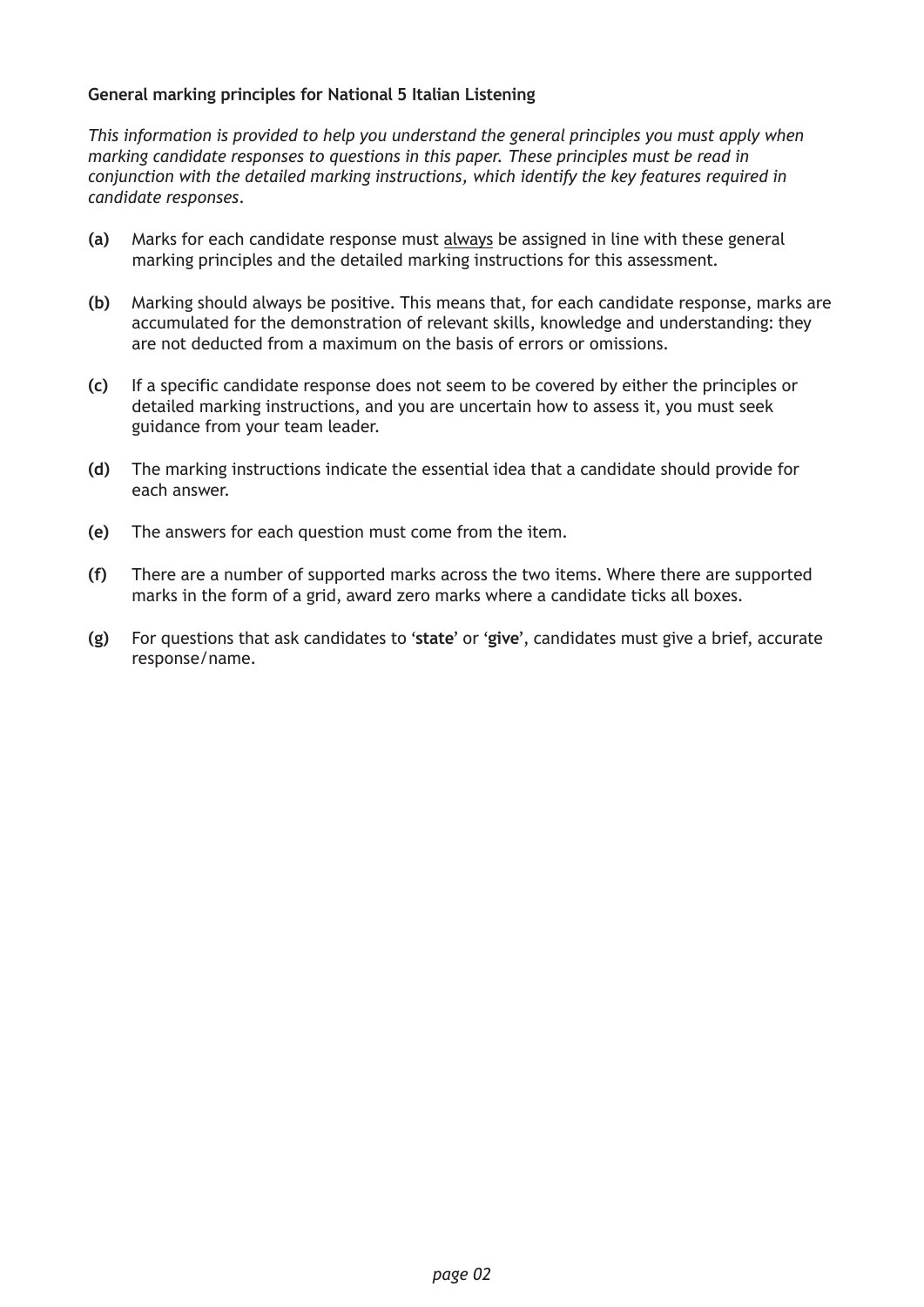#### **General marking principles for National 5 Italian Listening**

*This information is provided to help you understand the general principles you must apply when marking candidate responses to questions in this paper. These principles must be read in conjunction with the detailed marking instructions, which identify the key features required in candidate responses*.

- **(a)** Marks for each candidate response must always be assigned in line with these general marking principles and the detailed marking instructions for this assessment.
- **(b)** Marking should always be positive. This means that, for each candidate response, marks are accumulated for the demonstration of relevant skills, knowledge and understanding: they are not deducted from a maximum on the basis of errors or omissions.
- **(c)** If a specific candidate response does not seem to be covered by either the principles or detailed marking instructions, and you are uncertain how to assess it, you must seek guidance from your team leader.
- **(d)** The marking instructions indicate the essential idea that a candidate should provide for each answer.
- **(e)** The answers for each question must come from the item.
- **(f)** There are a number of supported marks across the two items. Where there are supported marks in the form of a grid, award zero marks where a candidate ticks all boxes.
- **(g)** For questions that ask candidates to '**state**' or '**give**', candidates must give a brief, accurate response/name.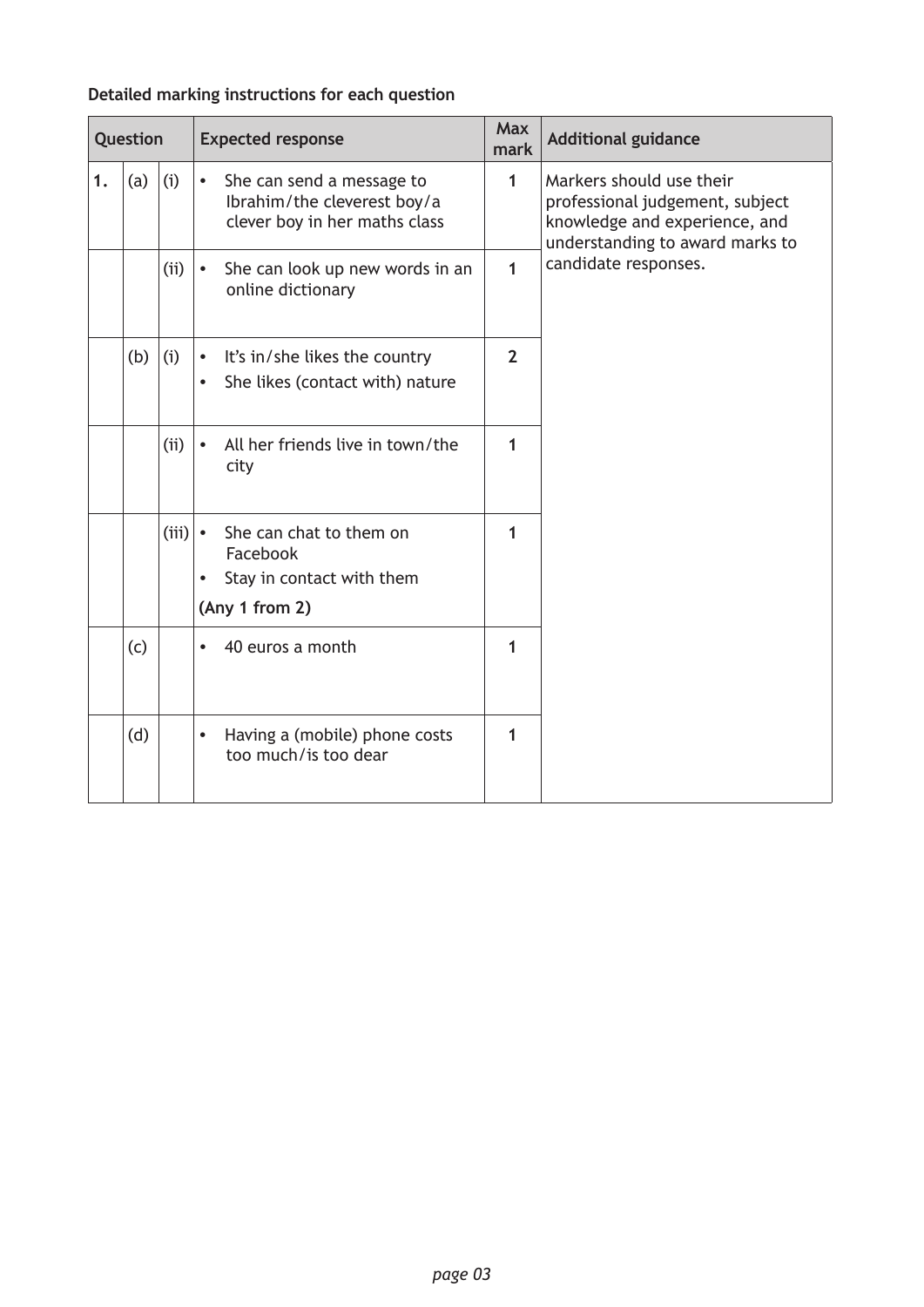#### **Detailed marking instructions for each question**

| Question |     |       | <b>Expected response</b>                                                                                     |                | <b>Additional guidance</b>                                                                                                      |
|----------|-----|-------|--------------------------------------------------------------------------------------------------------------|----------------|---------------------------------------------------------------------------------------------------------------------------------|
| 1.       | (a) | (i)   | She can send a message to<br>$\bullet$<br>Ibrahim/the cleverest boy/a<br>clever boy in her maths class       | 1              | Markers should use their<br>professional judgement, subject<br>knowledge and experience, and<br>understanding to award marks to |
|          |     | (i)   | She can look up new words in an<br>$\bullet$<br>online dictionary                                            | 1              | candidate responses.                                                                                                            |
|          | (b) | (i)   | It's in/she likes the country<br>$\bullet$<br>She likes (contact with) nature<br>$\bullet$                   | $\overline{2}$ |                                                                                                                                 |
|          |     | (i)   | All her friends live in town/the<br>$\bullet$<br>city                                                        | 1              |                                                                                                                                 |
|          |     | (iii) | She can chat to them on<br>$\bullet$<br>Facebook<br>Stay in contact with them<br>$\bullet$<br>(Any 1 from 2) | 1              |                                                                                                                                 |
|          | (c) |       | 40 euros a month<br>$\bullet$                                                                                | 1              |                                                                                                                                 |
|          | (d) |       | Having a (mobile) phone costs<br>$\bullet$<br>too much/is too dear                                           | 1              |                                                                                                                                 |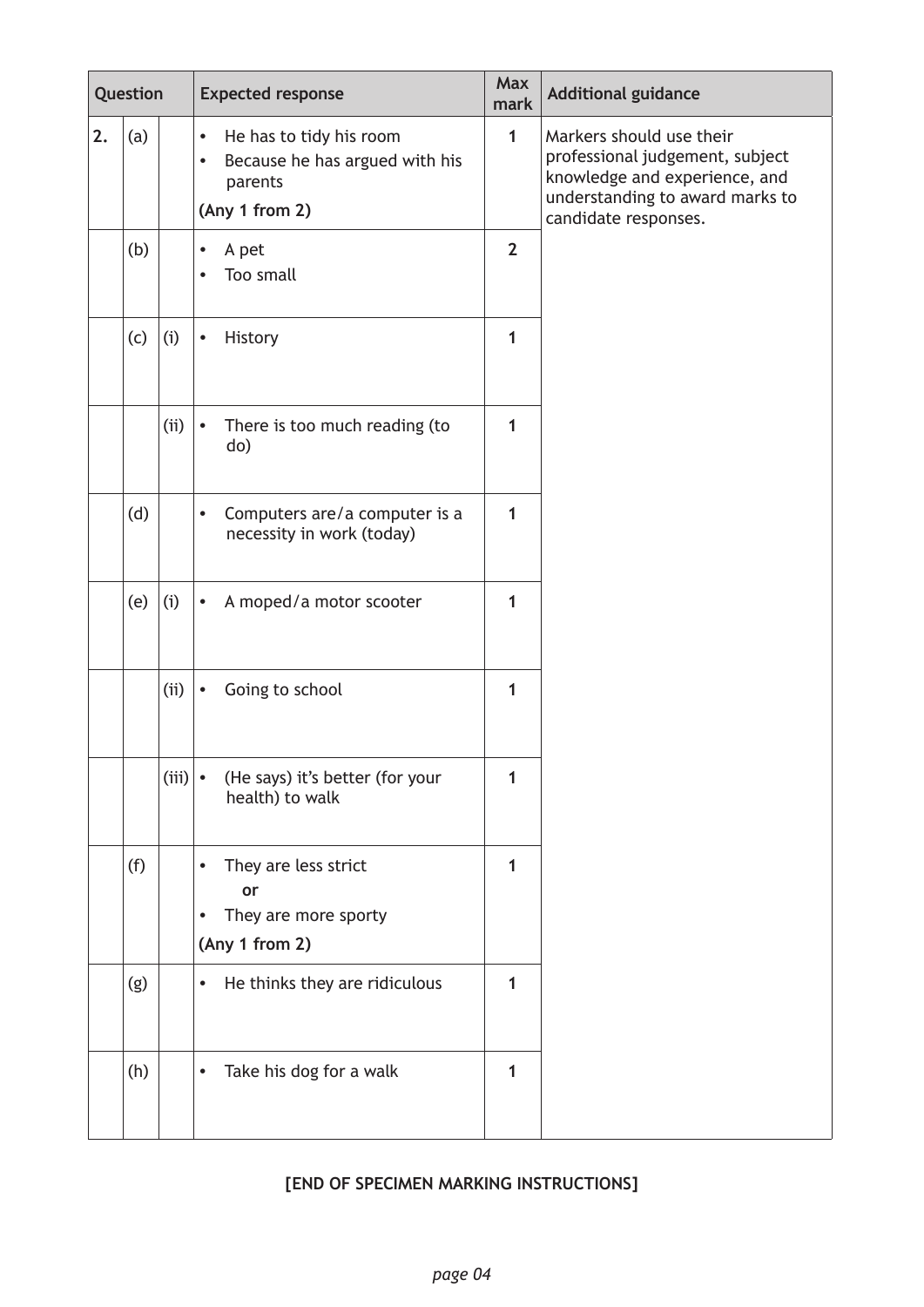| Question |     |       | <b>Expected response</b>                                                                                         |                | <b>Additional guidance</b>                                                                                                                              |
|----------|-----|-------|------------------------------------------------------------------------------------------------------------------|----------------|---------------------------------------------------------------------------------------------------------------------------------------------------------|
| 2.       | (a) |       | He has to tidy his room<br>$\bullet$<br>Because he has argued with his<br>$\bullet$<br>parents<br>(Any 1 from 2) | $\mathbf{1}$   | Markers should use their<br>professional judgement, subject<br>knowledge and experience, and<br>understanding to award marks to<br>candidate responses. |
|          | (b) |       | A pet<br>$\bullet$<br>Too small                                                                                  | $\overline{2}$ |                                                                                                                                                         |
|          | (c) | (i)   | History<br>$\bullet$                                                                                             | 1              |                                                                                                                                                         |
|          |     | (i)   | There is too much reading (to<br>$\bullet$<br>do)                                                                | 1              |                                                                                                                                                         |
|          | (d) |       | Computers are/a computer is a<br>$\bullet$<br>necessity in work (today)                                          | 1              |                                                                                                                                                         |
|          | (e) | (i)   | A moped/a motor scooter<br>$\bullet$                                                                             | 1              |                                                                                                                                                         |
|          |     | (i)   | Going to school<br>$\bullet$                                                                                     | 1              |                                                                                                                                                         |
|          |     | (iii) | (He says) it's better (for your<br>$\bullet$<br>health) to walk                                                  | 1              |                                                                                                                                                         |
|          | (f) |       | They are less strict<br>$\bullet$<br>or<br>They are more sporty<br>$\bullet$<br>(Any 1 from 2)                   | 1              |                                                                                                                                                         |
|          | (g) |       | He thinks they are ridiculous<br>$\bullet$                                                                       | 1              |                                                                                                                                                         |
|          | (h) |       | Take his dog for a walk<br>$\bullet$                                                                             | 1              |                                                                                                                                                         |

## **[END OF SPECIMEN MARKING INSTRUCTIONS]**